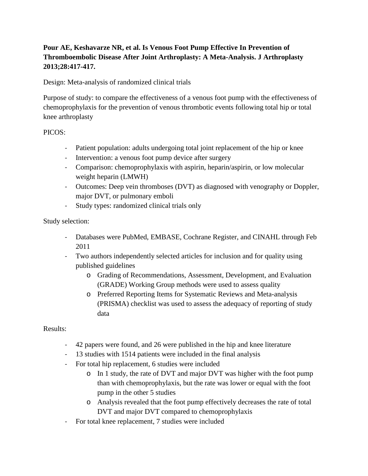# **Pour AE, Keshavarze NR, et al. Is Venous Foot Pump Effective In Prevention of Thromboembolic Disease After Joint Arthroplasty: A Meta-Analysis. J Arthroplasty 2013;28:417-417.**

Design: Meta-analysis of randomized clinical trials

Purpose of study: to compare the effectiveness of a venous foot pump with the effectiveness of chemoprophylaxis for the prevention of venous thrombotic events following total hip or total knee arthroplasty

## PICOS:

- Patient population: adults undergoing total joint replacement of the hip or knee
- Intervention: a venous foot pump device after surgery
- Comparison: chemoprophylaxis with aspirin, heparin/aspirin, or low molecular weight heparin (LMWH)
- Outcomes: Deep vein thromboses (DVT) as diagnosed with venography or Doppler, major DVT, or pulmonary emboli
- Study types: randomized clinical trials only

## Study selection:

- Databases were PubMed, EMBASE, Cochrane Register, and CINAHL through Feb 2011
- Two authors independently selected articles for inclusion and for quality using published guidelines
	- o Grading of Recommendations, Assessment, Development, and Evaluation (GRADE) Working Group methods were used to assess quality
	- o Preferred Reporting Items for Systematic Reviews and Meta-analysis (PRISMA) checklist was used to assess the adequacy of reporting of study data

#### Results:

- 42 papers were found, and 26 were published in the hip and knee literature
- 13 studies with 1514 patients were included in the final analysis
- For total hip replacement, 6 studies were included
	- o In 1 study, the rate of DVT and major DVT was higher with the foot pump than with chemoprophylaxis, but the rate was lower or equal with the foot pump in the other 5 studies
	- o Analysis revealed that the foot pump effectively decreases the rate of total DVT and major DVT compared to chemoprophylaxis
- For total knee replacement, 7 studies were included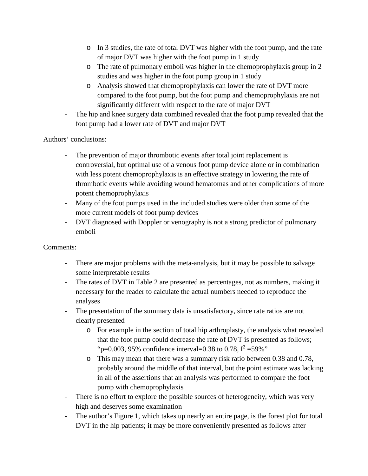- o In 3 studies, the rate of total DVT was higher with the foot pump, and the rate of major DVT was higher with the foot pump in 1 study
- o The rate of pulmonary emboli was higher in the chemoprophylaxis group in 2 studies and was higher in the foot pump group in 1 study
- o Analysis showed that chemoprophylaxis can lower the rate of DVT more compared to the foot pump, but the foot pump and chemoprophylaxis are not significantly different with respect to the rate of major DVT
- The hip and knee surgery data combined revealed that the foot pump revealed that the foot pump had a lower rate of DVT and major DVT

Authors' conclusions:

- The prevention of major thrombotic events after total joint replacement is controversial, but optimal use of a venous foot pump device alone or in combination with less potent chemoprophylaxis is an effective strategy in lowering the rate of thrombotic events while avoiding wound hematomas and other complications of more potent chemoprophylaxis
- Many of the foot pumps used in the included studies were older than some of the more current models of foot pump devices
- DVT diagnosed with Doppler or venography is not a strong predictor of pulmonary emboli

Comments:

- There are major problems with the meta-analysis, but it may be possible to salvage some interpretable results
- The rates of DVT in Table 2 are presented as percentages, not as numbers, making it necessary for the reader to calculate the actual numbers needed to reproduce the analyses
- The presentation of the summary data is unsatisfactory, since rate ratios are not clearly presented
	- o For example in the section of total hip arthroplasty, the analysis what revealed that the foot pump could decrease the rate of DVT is presented as follows; "p=0.003, 95% confidence interval=0.38 to 0.78,  $I^2 = 59\%$ "
	- o This may mean that there was a summary risk ratio between 0.38 and 0.78, probably around the middle of that interval, but the point estimate was lacking in all of the assertions that an analysis was performed to compare the foot pump with chemoprophylaxis
- There is no effort to explore the possible sources of heterogeneity, which was very high and deserves some examination
- The author's Figure 1, which takes up nearly an entire page, is the forest plot for total DVT in the hip patients; it may be more conveniently presented as follows after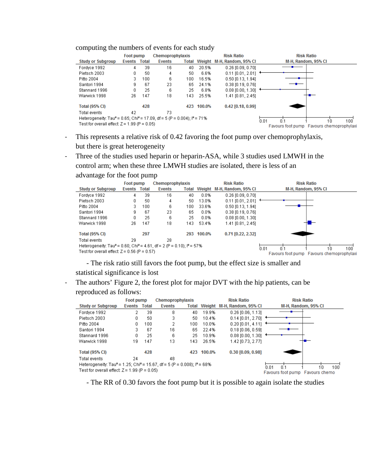#### computing the numbers of events for each study

advantage for the foot pump

|                                                                                                            | <b>Foot pump</b> |              | Chemoprophylaxis |       |            | <b>Risk Ratio</b>          | <b>Risk Ratio</b>                                             |  |  |
|------------------------------------------------------------------------------------------------------------|------------------|--------------|------------------|-------|------------|----------------------------|---------------------------------------------------------------|--|--|
| <b>Study or Subgroup</b>                                                                                   | <b>Events</b>    | <b>Total</b> | <b>Events</b>    | Total |            | Weight M-H, Random, 95% CI | M-H. Random, 95% CI                                           |  |  |
| Fordyce 1992                                                                                               | 4                | 39           | 16               | 40    | 20.5%      | $0.26$ [0.09, 0.70]        |                                                               |  |  |
| Pietsch 2003                                                                                               |                  | 50           | 4                | 50    | 6.6%       | $0.11$ [0.01, 2.01]        |                                                               |  |  |
| Pitto 2004                                                                                                 | З.               | 100          | 6.               | 100   | 16.5%      | $0.50$ [0.13, 1.94]        |                                                               |  |  |
| Santori 1994                                                                                               | 9                | 67           | 23               | 65    | 24.1%      | $0.38$ [0.19, 0.76]        |                                                               |  |  |
| Stannard 1996                                                                                              |                  | 25           | 6                | 25    | 6.8%       | $0.08$ [0.00, 1.30]        |                                                               |  |  |
| Warwick 1998                                                                                               | 26               | 147          | 18               | 143   | 25.5%      | 1.41 [0.81, 2.45]          |                                                               |  |  |
| <b>Total (95% CI)</b>                                                                                      |                  | 428          |                  |       | 423 100.0% | $0.42$ [0.18, 0.99]        |                                                               |  |  |
| Total events                                                                                               | 42               |              | 73               |       |            |                            |                                                               |  |  |
| Heterogeneity: Tau <sup>2</sup> = 0.65; Chi <sup>2</sup> = 17.09, df = 5 (P = 0.004); l <sup>2</sup> = 71% |                  |              |                  |       |            |                            | 0.01                                                          |  |  |
| Test for overall effect: $Z = 1.99$ (P = 0.05)                                                             |                  |              |                  |       |            |                            | 10<br>100<br>n 1<br>Favours foot pump Favours chemoprophylaxi |  |  |

- This represents a relative risk of 0.42 favoring the foot pump over chemoprophylaxis, but there is great heterogeneity
- Three of the studies used heparin or heparin-ASA, while 3 studies used LMWH in the control arm; when these three LMWH studies are isolated, there is less of an

|                                                                                                          | <b>Foot pump</b> |     | Chemoprophylaxis |              |            | <b>Risk Ratio</b>          | <b>Risk Ratio</b> |                                           |                     |     |
|----------------------------------------------------------------------------------------------------------|------------------|-----|------------------|--------------|------------|----------------------------|-------------------|-------------------------------------------|---------------------|-----|
| <b>Study or Subgroup</b>                                                                                 | Events Total     |     | <b>Events</b>    | <b>Total</b> |            | Weight M-H, Random, 95% CI |                   |                                           | M-H, Random, 95% CI |     |
| Fordvce 1992                                                                                             | 4                | 39  | 16               | 40           | 0.0%       | $0.26$ [0.09, 0.70]        |                   |                                           |                     |     |
| Pietsch 2003                                                                                             | 0                | 50  | 4                | 50           | 13.0%      | $0.11$ [0.01, 2.01]        |                   |                                           |                     |     |
| Pitto 2004                                                                                               | з.               | 100 | 6                | 100          | 33.6%      | $0.50$ [0.13, 1.94]        |                   |                                           |                     |     |
| Santori 1994                                                                                             | 9                | 67  | 23               | 65           | $0.0\%$    | $0.38$ [0.19, 0.76]        |                   |                                           |                     |     |
| Stannard 1996                                                                                            |                  | 25  | 6                | 25           | $0.0\%$    | $0.08$ [0.00, 1.30]        |                   |                                           |                     |     |
| Warwick 1998                                                                                             | 26               | 147 | 18               | 143.         | 53.4%      | 1.41 [0.81, 2.45]          |                   |                                           |                     |     |
| <b>Total (95% CI)</b>                                                                                    |                  | 297 |                  |              | 293 100.0% | $0.71$ [0.22, 2.32]        |                   |                                           |                     |     |
| Total events                                                                                             | 29               |     | 28               |              |            |                            |                   |                                           |                     |     |
| Heterogeneity: Tau <sup>z</sup> = 0.60; Chi <sup>z</sup> = 4.61, df = 2 (P = 0.10); i <sup>z</sup> = 57% |                  |     |                  |              |            |                            | 0.01              | n 1                                       | 1'n                 | 100 |
| Test for overall effect: $Z = 0.56$ (P = 0.57)                                                           |                  |     |                  |              |            |                            |                   | Favours foot pump Favours chemoprophylaxi |                     |     |

- The risk ratio still favors the foot pump, but the effect size is smaller and statistical significance is lost

- The authors' Figure 2, the forest plot for major DVT with the hip patients, can be reproduced as follows:

|                                                                                                            | <b>Foot pump</b> |     | Chemoprophylaxis |      | <b>Risk Ratio</b> |                                   | <b>Risk Ratio</b>                    |
|------------------------------------------------------------------------------------------------------------|------------------|-----|------------------|------|-------------------|-----------------------------------|--------------------------------------|
| <b>Study or Subgroup</b>                                                                                   | Events Total     |     | <b>Events</b>    |      |                   | Total Weight M-H, Random, 95% Cl  | M-H, Random, 95% CI                  |
| Fordyce 1992                                                                                               |                  | 39  | 8                | 40   | 19.9%             | $0.26$ [0.06, 1.13]               |                                      |
| Pietsch 2003                                                                                               |                  | 50  | 3                | 50   | 10.4%             | $0.14$ [0.01, 2.70] $\rightarrow$ |                                      |
| Pitto 2004                                                                                                 | 0                | 100 | 2                | 100  | 10.0%             | $0.20$ [0.01, 4.11]               |                                      |
| Santori 1994                                                                                               | з                | 67  | 16               | 65.  | 22.4%             | $0.18$ [0.06, 0.59]               |                                      |
| Stannard 1996                                                                                              |                  | 25  | 6                | 25   | 10.9%             | $0.08$ [0.00, 1.30]               |                                      |
| Warwick 1998                                                                                               | 19               | 147 | 13               | 143. | 26.5%             | 1.42 [0.73, 2.77]                 |                                      |
| <b>Total (95% CI)</b>                                                                                      |                  | 428 |                  |      | 423 100.0%        | 0.30 [0.09, 0.98]                 |                                      |
| Total events                                                                                               | 24               |     | 48               |      |                   |                                   |                                      |
| Heterogeneity: Tau <sup>2</sup> = 1.25; Chi <sup>2</sup> = 15.67, df = 5 (P = 0.008); i <sup>2</sup> = 68% |                  |     |                  |      |                   |                                   | 'n n1<br>0 <sup>1</sup><br>100<br>10 |
| Test for overall effect: $Z = 1.99$ (P = 0.05)                                                             |                  |     |                  |      |                   |                                   | Favours foot pump Favours chemo      |

- The RR of 0.30 favors the foot pump but it is possible to again isolate the studies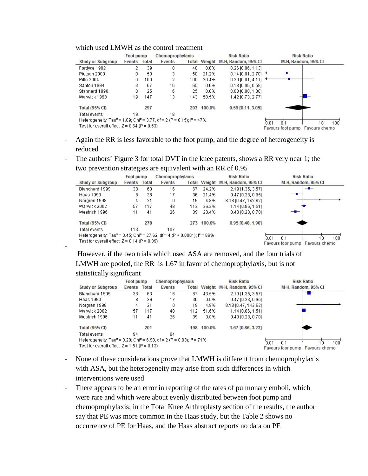#### which used LMWH as the control treatment

-

|                                                                                                          | <b>Foot pump</b>                 |              | Chemoprophylaxis |     |            | <b>Risk Ratio</b>                | <b>Risk Ratio</b>             |
|----------------------------------------------------------------------------------------------------------|----------------------------------|--------------|------------------|-----|------------|----------------------------------|-------------------------------|
| <b>Study or Subgroup</b>                                                                                 | <b>Events</b>                    | <b>Total</b> | <b>Events</b>    |     |            | Total Weight M-H, Random, 95% CI | M-H, Random, 95% CI           |
| Fordyce 1992                                                                                             | 2                                | 39           | 8                | 40  | 0.0%       | $0.26$ [0.06, 1.13]              |                               |
| Pietsch 2003                                                                                             |                                  | 50           | 3                | 50  | 21.2%      | $0.14$ [0.01, 2.70]              |                               |
| Pitto 2004                                                                                               | 0.                               | 100          | 2                | 100 | 20.4%      | $0.20$ [0.01, 4.11]              |                               |
| Santori 1994                                                                                             | 3                                | 67           | 16               | 65  | 0.0%       | $0.18$ [0.06, 0.59]              |                               |
| Stannard 1996                                                                                            |                                  | 25           | 6                | 25  | 0.0%       | $0.08$ [0.00, 1.30]              |                               |
| Warwick 1998                                                                                             | 19                               | 147          | 13               | 143 | 58.5%      | 1.42 [0.73, 2.77]                |                               |
| <b>Total (95% CI)</b>                                                                                    |                                  | 297          |                  |     | 293 100.0% | 0.59 [0.11, 3.05]                |                               |
| Total events                                                                                             | 19                               |              | 18               |     |            |                                  |                               |
| Heterogeneity: Tau <sup>z</sup> = 1.09; Chi <sup>z</sup> = 3.77, df = 2 (P = 0.15); i <sup>z</sup> = 47% |                                  |              |                  |     |            |                                  | 100<br>n n1<br>0 <sup>1</sup> |
| Test for overall effect: $Z = 0.64$ (P = 0.53)                                                           | Eavours foot nump. Eavours chemo |              |                  |     |            |                                  |                               |

- Again the RR is less favorable to the foot pump, and the degree of heterogeneity is reduced
- The authors' Figure 3 for total DVT in the knee patents, shows a RR very near 1; the

|                                                                                                   | <b>Foot pump</b> |              | Chemoprophylaxis |     |            | <b>Risk Ratio</b>                |                                 | <b>Risk Ratio</b>   |     |
|---------------------------------------------------------------------------------------------------|------------------|--------------|------------------|-----|------------|----------------------------------|---------------------------------|---------------------|-----|
| <b>Study or Subgroup</b>                                                                          | Events           | <b>Total</b> | <b>Events</b>    |     |            | Total Weight M-H, Random, 95% CI |                                 | M-H, Random, 95% CI |     |
| Blanchard 1999                                                                                    | 33               | 63           | 16               | 67  | 24.2%      | 2.19 [1.35, 3.57]                |                                 |                     |     |
| Haas 1990                                                                                         | 8                | 36           | 17               | 36  | 21.4%      | $0.47$ [0.23, 0.95]              |                                 |                     |     |
| Noraren 1998                                                                                      | 4                | 21           | 0                | 19  | 4.8%       | 8.18 [0.47, 142.62]              |                                 |                     |     |
| Warwick 2002                                                                                      | 57               | 117          | 48               | 112 | 26.3%      | 1.14 [0.86, 1.51]                |                                 |                     |     |
| Westrich 1996                                                                                     | 11               | 41           | 26               | 39  | 23.4%      | $0.40$ [0.23, 0.70]              |                                 |                     |     |
| <b>Total (95% CI)</b>                                                                             |                  | 278          |                  |     | 273 100.0% | 0.95 [0.48, 1.90]                |                                 |                     |     |
| Total events                                                                                      | 113              |              | 107              |     |            |                                  |                                 |                     |     |
| Heterogeneity: Tau <sup>2</sup> = 0.45; Chi <sup>2</sup> = 27.62, df = 4 (P < 0.0001): $P = 86\%$ |                  |              |                  |     |            |                                  | 0 <sup>1</sup><br>۵n n          | 10                  | 100 |
| Test for overall effect: $Z = 0.14$ (P = 0.89)                                                    |                  |              |                  |     |            |                                  | Favours foor pump Favours chemo |                     |     |

two prevention strategies are equivalent with an RR of 0.95

However, if the two trials which used ASA are removed, and the four trials of LMWH are pooled, the RR is 1.67 in favor of chemoprophylaxis, but is not statistically significant

|                                                                                                          | Foot pump |                                 | Chemoprophylaxis |     | <b>Risk Ratio</b> |                                  | <b>Risk Ratio</b>                  |
|----------------------------------------------------------------------------------------------------------|-----------|---------------------------------|------------------|-----|-------------------|----------------------------------|------------------------------------|
| <b>Study or Subgroup</b>                                                                                 | Events    | <b>Total</b>                    | <b>Events</b>    |     |                   | Total Weight M-H, Random, 95% CI | M-H, Random, 95% CI                |
| Blanchard 1999                                                                                           | 33        | 63                              | 16               | 67  | 43.5%             | 2.19 [1.35, 3.57]                | -                                  |
| Haas 1990                                                                                                | 8         | 36                              | 17               | 36  | $0.0\%$           | $0.47$ [0.23, 0.95]              |                                    |
| Norgren 1998                                                                                             | 4         | 21                              | 0                | 19  | 4.9%              | 8.18 [0.47, 142.62]              |                                    |
| Warwick 2002                                                                                             | 57        | 117                             | 48               | 112 | 51.6%             | 1.14 [0.86, 1.51]                |                                    |
| Westrich 1996                                                                                            | 11        | 41                              | 26               | 39  | $0.0\%$           | $0.40$ [0.23, 0.70]              |                                    |
| <b>Total (95% CI)</b>                                                                                    |           | 201                             |                  | 198 | 100.0%            | 1.67 [0.86, 3.23]                |                                    |
| Total events                                                                                             | 94        |                                 | 64               |     |                   |                                  |                                    |
| Heterogeneity: Tau <sup>z</sup> = 0.20; Chi <sup>z</sup> = 6.98, df = 2 (P = 0.03); i <sup>z</sup> = 71% |           |                                 |                  |     |                   |                                  | n n1<br>$100^{\circ}$<br>0.1<br>10 |
| Test for overall effect: $Z = 1.51$ (P = 0.13)                                                           |           | Favours foor pump Favours chemo |                  |     |                   |                                  |                                    |

- None of these considerations prove that LMWH is different from chemoprophylaxis with ASA, but the heterogeneity may arise from such differences in which interventions were used
- There appears to be an error in reporting of the rates of pulmonary emboli, which were rare and which were about evenly distributed between foot pump and chemoprophylaxis; in the Total Knee Arthroplasty section of the results, the author say that PE was more common in the Haas study, but the Table 2 shows no occurrence of PE for Haas, and the Haas abstract reports no data on PE